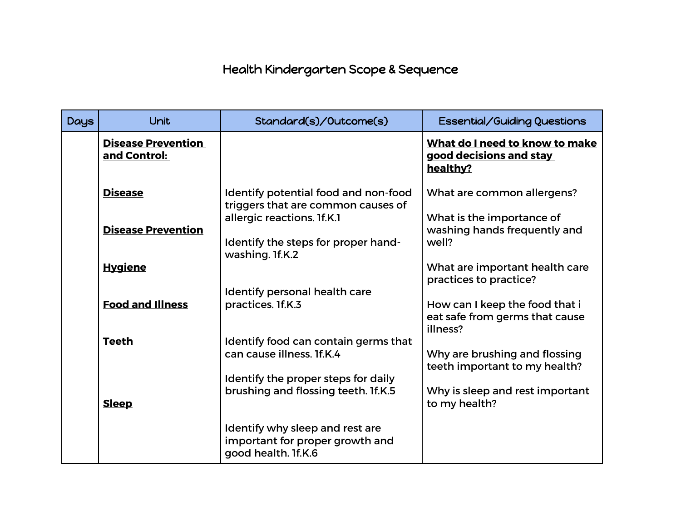## Health Kindergarten Scope & Sequence

| <b>Days</b> | <b>Unit</b>                               | Standard(s)/Outcome(s)                                                     | Essential/Guiding Questions                                           |
|-------------|-------------------------------------------|----------------------------------------------------------------------------|-----------------------------------------------------------------------|
|             | <b>Disease Prevention</b><br>and Control: |                                                                            | What do I need to know to make<br>good decisions and stay<br>healthy? |
|             | <b>Disease</b>                            | Identify potential food and non-food<br>triggers that are common causes of | What are common allergens?                                            |
|             | <b>Disease Prevention</b>                 | allergic reactions. 1f.K.1<br>Identify the steps for proper hand-          | What is the importance of<br>washing hands frequently and<br>well?    |
|             | <b>Hygiene</b>                            | washing. If.K.2                                                            | What are important health care                                        |
|             | <b>Food and Illness</b>                   | Identify personal health care<br>practices. 1f.K.3                         | practices to practice?<br>How can I keep the food that i              |
|             |                                           |                                                                            | eat safe from germs that cause<br>illness?                            |
|             | <b>Teeth</b>                              | Identify food can contain germs that<br>can cause illness, 1f.K.4          | Why are brushing and flossing<br>teeth important to my health?        |
|             |                                           | Identify the proper steps for daily<br>brushing and flossing teeth. If.K.5 | Why is sleep and rest important                                       |
|             | <b>Sleep</b>                              | Identify why sleep and rest are                                            | to my health?                                                         |
|             |                                           | important for proper growth and<br>good health. If.K.6                     |                                                                       |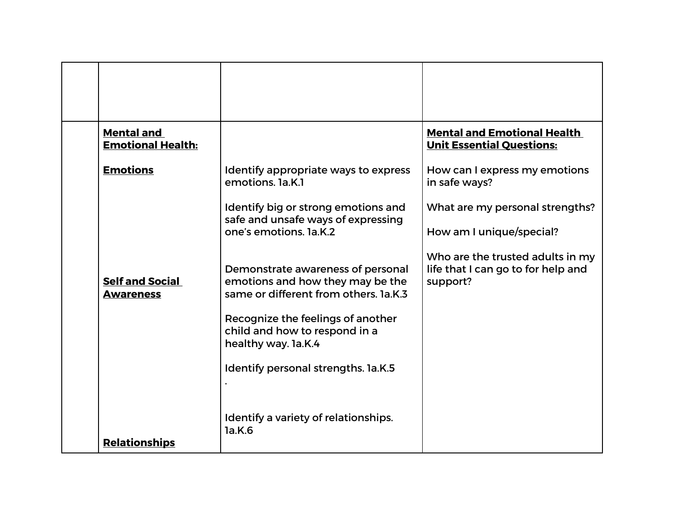| <b>Mental and</b><br><b>Emotional Health:</b> |                                                                                                                | <b>Mental and Emotional Health</b><br><b>Unit Essential Questions:</b>             |
|-----------------------------------------------|----------------------------------------------------------------------------------------------------------------|------------------------------------------------------------------------------------|
| <b>Emotions</b>                               | Identify appropriate ways to express<br>emotions. 1a.K.1                                                       | How can I express my emotions<br>in safe ways?                                     |
|                                               | Identify big or strong emotions and<br>safe and unsafe ways of expressing                                      | What are my personal strengths?                                                    |
|                                               | one's emotions, 1a.K.2                                                                                         | How am I unique/special?                                                           |
| <b>Self and Social</b><br><b>Awareness</b>    | Demonstrate awareness of personal<br>emotions and how they may be the<br>same or different from others, 1a.K.3 | Who are the trusted adults in my<br>life that I can go to for help and<br>support? |
|                                               | Recognize the feelings of another<br>child and how to respond in a<br>healthy way. la.K.4                      |                                                                                    |
|                                               | Identify personal strengths. 1a.K.5                                                                            |                                                                                    |
|                                               | Identify a variety of relationships.<br>1a.K.6                                                                 |                                                                                    |
| <b>Relationships</b>                          |                                                                                                                |                                                                                    |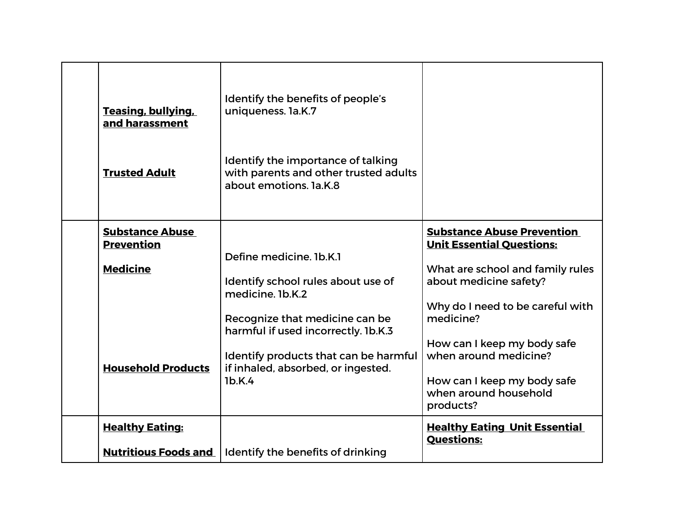| Teasing, bullying,<br>and harassment<br><b>Trusted Adult</b>                                | Identify the benefits of people's<br>uniqueness. la.K.7<br>Identify the importance of talking<br>with parents and other trusted adults<br>about emotions. Ia.K.8                                                                                    |                                                                                                                                                                                                                                                                                                                   |
|---------------------------------------------------------------------------------------------|-----------------------------------------------------------------------------------------------------------------------------------------------------------------------------------------------------------------------------------------------------|-------------------------------------------------------------------------------------------------------------------------------------------------------------------------------------------------------------------------------------------------------------------------------------------------------------------|
| <b>Substance Abuse</b><br><b>Prevention</b><br><b>Medicine</b><br><b>Household Products</b> | Define medicine, 1b.K.1<br>Identify school rules about use of<br>medicine. 1b.K.2<br>Recognize that medicine can be<br>harmful if used incorrectly. 1b.K.3<br>Identify products that can be harmful<br>if inhaled, absorbed, or ingested.<br>1b.K.4 | <b>Substance Abuse Prevention</b><br><b>Unit Essential Questions:</b><br>What are school and family rules<br>about medicine safety?<br>Why do I need to be careful with<br>medicine?<br>How can I keep my body safe<br>when around medicine?<br>How can I keep my body safe<br>when around household<br>products? |
| <b>Healthy Eating:</b><br><b>Nutritious Foods and</b>                                       | Identify the benefits of drinking                                                                                                                                                                                                                   | <b>Healthy Eating Unit Essential</b><br><b>Ouestions:</b>                                                                                                                                                                                                                                                         |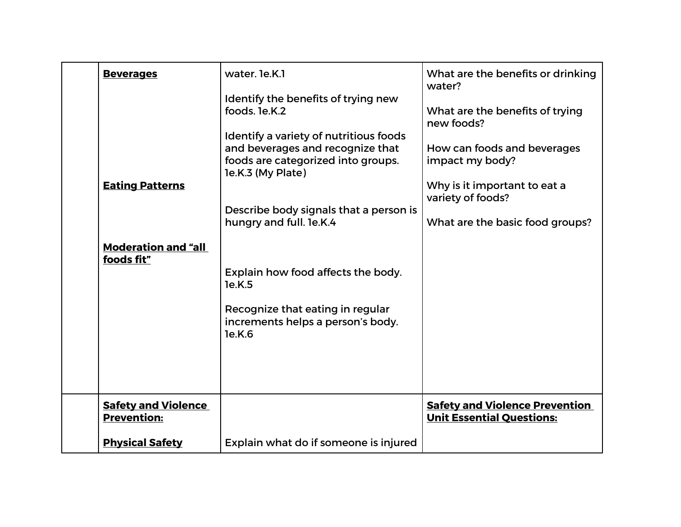| <b>Beverages</b>                                 | water, le.K.1                                                                                                                                                                                                                                                      | What are the benefits or drinking<br>water?                                                                                                                                             |
|--------------------------------------------------|--------------------------------------------------------------------------------------------------------------------------------------------------------------------------------------------------------------------------------------------------------------------|-----------------------------------------------------------------------------------------------------------------------------------------------------------------------------------------|
| <b>Eating Patterns</b>                           | Identify the benefits of trying new<br>foods. le.K.2<br>Identify a variety of nutritious foods<br>and beverages and recognize that<br>foods are categorized into groups.<br>le.K.3 (My Plate)<br>Describe body signals that a person is<br>hungry and full. 1e.K.4 | What are the benefits of trying<br>new foods?<br>How can foods and beverages<br>impact my body?<br>Why is it important to eat a<br>variety of foods?<br>What are the basic food groups? |
| <b>Moderation and "all</b><br>foods fit"         | Explain how food affects the body.<br>1e.K.5<br>Recognize that eating in regular<br>increments helps a person's body.<br>1e.K.6                                                                                                                                    |                                                                                                                                                                                         |
| <b>Safety and Violence</b><br><b>Prevention:</b> |                                                                                                                                                                                                                                                                    | <b>Safety and Violence Prevention</b><br><b>Unit Essential Questions:</b>                                                                                                               |
| <b>Physical Safety</b>                           | Explain what do if someone is injured                                                                                                                                                                                                                              |                                                                                                                                                                                         |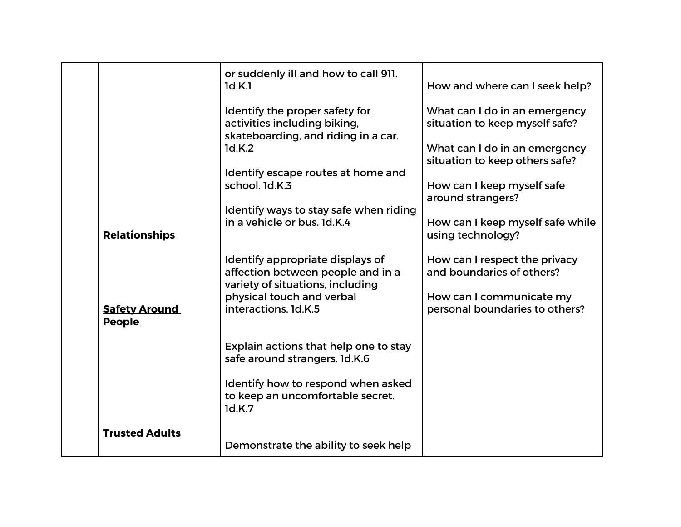|                                       | or suddenly ill and how to call 911.<br>1d.K.1                                                            | How and where can I seek help?                                  |
|---------------------------------------|-----------------------------------------------------------------------------------------------------------|-----------------------------------------------------------------|
|                                       | Identify the proper safety for<br>activities including biking,<br>skateboarding, and riding in a car.     | What can I do in an emergency<br>situation to keep myself safe? |
|                                       | 1d.K.2                                                                                                    | What can I do in an emergency<br>situation to keep others safe? |
|                                       | Identify escape routes at home and<br>school. 1d.K.3                                                      | How can I keep myself safe<br>around strangers?                 |
| <b>Relationships</b>                  | Identify ways to stay safe when riding<br>in a vehicle or bus. 1d.K.4                                     | How can I keep myself safe while<br>using technology?           |
|                                       | Identify appropriate displays of<br>affection between people and in a<br>variety of situations, including | How can I respect the privacy<br>and boundaries of others?      |
| <b>Safety Around</b><br><b>People</b> | physical touch and verbal<br>interactions. 1d.K.5                                                         | How can I communicate my<br>personal boundaries to others?      |
|                                       | Explain actions that help one to stay<br>safe around strangers. 1d.K.6                                    |                                                                 |
|                                       | Identify how to respond when asked<br>to keep an uncomfortable secret.<br>1d.K.7                          |                                                                 |
| <b>Trusted Adults</b>                 | Demonstrate the ability to seek help                                                                      |                                                                 |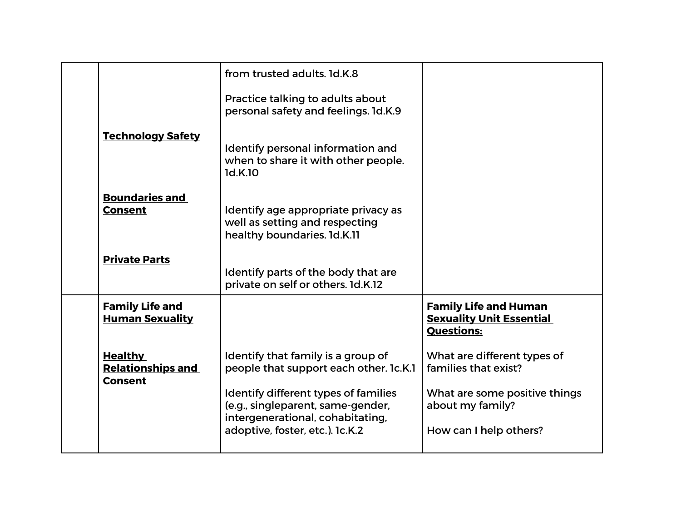|                                                  | from trusted adults, 1d.K.8                                                                                   |                                                                                      |
|--------------------------------------------------|---------------------------------------------------------------------------------------------------------------|--------------------------------------------------------------------------------------|
|                                                  | Practice talking to adults about<br>personal safety and feelings. 1d.K.9                                      |                                                                                      |
| <b>Technology Safety</b>                         | Identify personal information and<br>when to share it with other people.<br>1d.K.10                           |                                                                                      |
| <b>Boundaries and</b>                            |                                                                                                               |                                                                                      |
| <b>Consent</b>                                   | Identify age appropriate privacy as<br>well as setting and respecting<br>healthy boundaries. 1d.K.11          |                                                                                      |
| <b>Private Parts</b>                             |                                                                                                               |                                                                                      |
|                                                  | Identify parts of the body that are<br>private on self or others. 1d.K.12                                     |                                                                                      |
| <b>Family Life and</b><br><b>Human Sexuality</b> |                                                                                                               | <b>Family Life and Human</b><br><b>Sexuality Unit Essential</b><br><b>Questions:</b> |
| <b>Healthy</b>                                   | Identify that family is a group of                                                                            | What are different types of                                                          |
| <b>Relationships and</b><br><b>Consent</b>       | people that support each other. Ic.K.I                                                                        | families that exist?                                                                 |
|                                                  | Identify different types of families<br>(e.g., singleparent, same-gender,<br>intergenerational, cohabitating, | What are some positive things<br>about my family?                                    |
|                                                  | adoptive, foster, etc.). Ic.K.2                                                                               | How can I help others?                                                               |